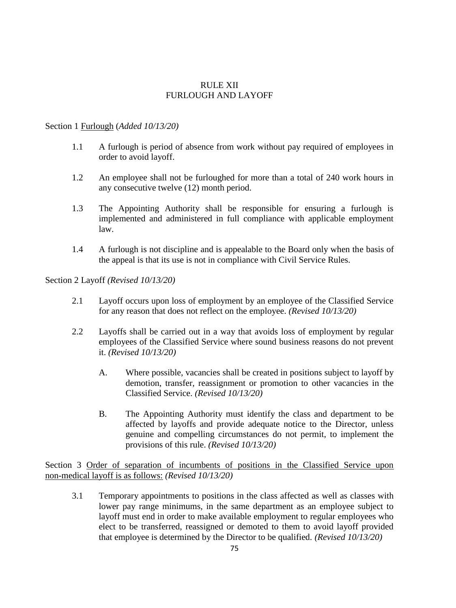## RULE XII FURLOUGH AND LAYOFF

## Section 1 Furlough (*Added 10/13/20)*

- 1.1 A furlough is period of absence from work without pay required of employees in order to avoid layoff.
- 1.2 An employee shall not be furloughed for more than a total of 240 work hours in any consecutive twelve (12) month period.
- 1.3 The Appointing Authority shall be responsible for ensuring a furlough is implemented and administered in full compliance with applicable employment law.
- 1.4 A furlough is not discipline and is appealable to the Board only when the basis of the appeal is that its use is not in compliance with Civil Service Rules.

Section 2 Layoff *(Revised 10/13/20)*

- 2.1 Layoff occurs upon loss of employment by an employee of the Classified Service for any reason that does not reflect on the employee. *(Revised 10/13/20)*
- 2.2 Layoffs shall be carried out in a way that avoids loss of employment by regular employees of the Classified Service where sound business reasons do not prevent it. *(Revised 10/13/20)*
	- A. Where possible, vacancies shall be created in positions subject to layoff by demotion, transfer, reassignment or promotion to other vacancies in the Classified Service. *(Revised 10/13/20)*
	- B. The Appointing Authority must identify the class and department to be affected by layoffs and provide adequate notice to the Director, unless genuine and compelling circumstances do not permit, to implement the provisions of this rule. *(Revised 10/13/20)*

Section 3 Order of separation of incumbents of positions in the Classified Service upon non-medical layoff is as follows: *(Revised 10/13/20)*

3.1 Temporary appointments to positions in the class affected as well as classes with lower pay range minimums, in the same department as an employee subject to layoff must end in order to make available employment to regular employees who elect to be transferred, reassigned or demoted to them to avoid layoff provided that employee is determined by the Director to be qualified. *(Revised 10/13/20)*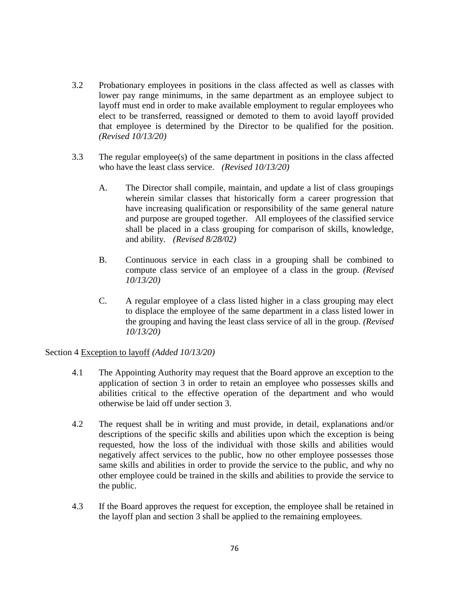- 3.2 Probationary employees in positions in the class affected as well as classes with lower pay range minimums, in the same department as an employee subject to layoff must end in order to make available employment to regular employees who elect to be transferred, reassigned or demoted to them to avoid layoff provided that employee is determined by the Director to be qualified for the position. *(Revised 10/13/20)*
- 3.3 The regular employee(s) of the same department in positions in the class affected who have the least class service. *(Revised 10/13/20)*
	- A. The Director shall compile, maintain, and update a list of class groupings wherein similar classes that historically form a career progression that have increasing qualification or responsibility of the same general nature and purpose are grouped together. All employees of the classified service shall be placed in a class grouping for comparison of skills, knowledge, and ability. *(Revised 8/28/02)*
	- B. Continuous service in each class in a grouping shall be combined to compute class service of an employee of a class in the group. *(Revised 10/13/20)*
	- C. A regular employee of a class listed higher in a class grouping may elect to displace the employee of the same department in a class listed lower in the grouping and having the least class service of all in the group. *(Revised 10/13/20)*

Section 4 Exception to layoff *(Added 10/13/20)*

- 4.1 The Appointing Authority may request that the Board approve an exception to the application of section 3 in order to retain an employee who possesses skills and abilities critical to the effective operation of the department and who would otherwise be laid off under section 3.
- 4.2 The request shall be in writing and must provide, in detail, explanations and/or descriptions of the specific skills and abilities upon which the exception is being requested, how the loss of the individual with those skills and abilities would negatively affect services to the public, how no other employee possesses those same skills and abilities in order to provide the service to the public, and why no other employee could be trained in the skills and abilities to provide the service to the public.
- 4.3 If the Board approves the request for exception, the employee shall be retained in the layoff plan and section 3 shall be applied to the remaining employees.